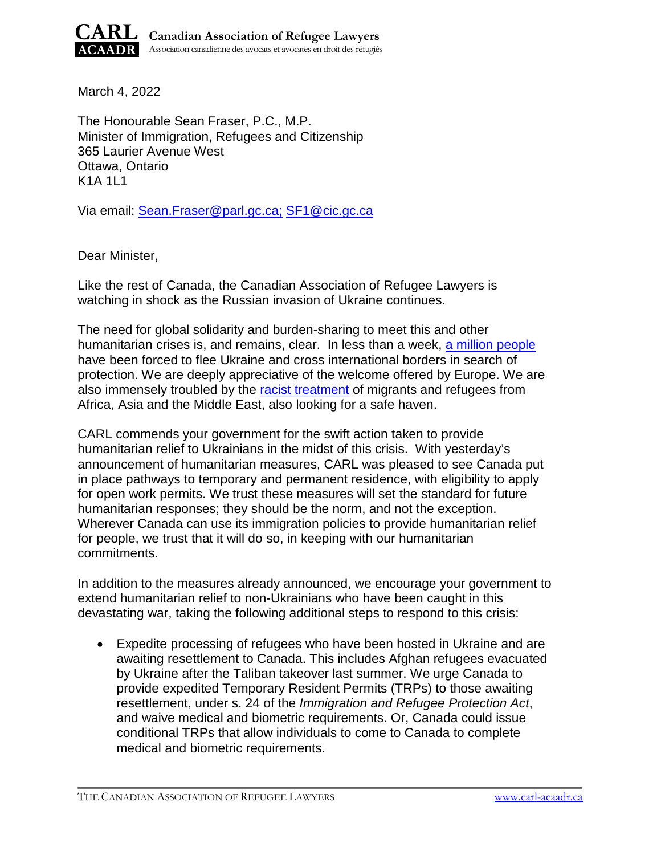

March 4, 2022

The Honourable Sean Fraser, P.C., M.P. Minister of Immigration, Refugees and Citizenship 365 Laurier Avenue West Ottawa, Ontario K1A 1L1

Via email: [Sean.Fraser@parl.gc.ca;](mailto:Sean.Fraser@parl.gc.ca) [SF1@cic.gc.ca](mailto:SF1@cic.gc.ca)

Dear Minister,

Like the rest of Canada, the Canadian Association of Refugee Lawyers is watching in shock as the Russian invasion of Ukraine continues.

The need for global solidarity and burden-sharing to meet this and other humanitarian crises is, and remains, clear. In less than a week, [a million people](https://www.cbc.ca/news/world/ukarine-refugees-children-poland-hungary-1.6370286) have been forced to flee Ukraine and cross international borders in search of protection. We are deeply appreciative of the welcome offered by Europe. We are also immensely troubled by the [racist treatment](https://www.cbc.ca/news/world/europe-racism-ukraine-refugees-1.6367932) of migrants and refugees from Africa, Asia and the Middle East, also looking for a safe haven.

CARL commends your government for the swift action taken to provide humanitarian relief to Ukrainians in the midst of this crisis. With yesterday's announcement of humanitarian measures, CARL was pleased to see Canada put in place pathways to temporary and permanent residence, with eligibility to apply for open work permits. We trust these measures will set the standard for future humanitarian responses; they should be the norm, and not the exception. Wherever Canada can use its immigration policies to provide humanitarian relief for people, we trust that it will do so, in keeping with our humanitarian commitments.

In addition to the measures already announced, we encourage your government to extend humanitarian relief to non-Ukrainians who have been caught in this devastating war, taking the following additional steps to respond to this crisis:

 Expedite processing of refugees who have been hosted in Ukraine and are awaiting resettlement to Canada. This includes Afghan refugees evacuated by Ukraine after the Taliban takeover last summer. We urge Canada to provide expedited Temporary Resident Permits (TRPs) to those awaiting resettlement, under s. 24 of the *Immigration and Refugee Protection Act*, and waive medical and biometric requirements. Or, Canada could issue conditional TRPs that allow individuals to come to Canada to complete medical and biometric requirements.